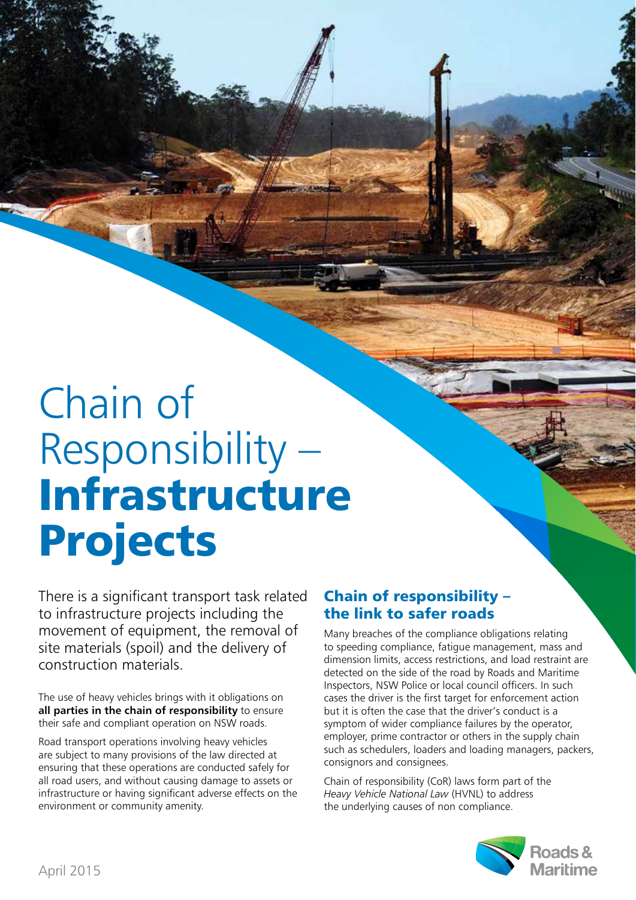## Chain of Responsibility – **Infrastructure Projects**

There is a significant transport task related to infrastructure projects including the movement of equipment, the removal of site materials (spoil) and the delivery of construction materials.

The use of heavy vehicles brings with it obligations on all parties in the chain of responsibility to ensure their safe and compliant operation on NSW roads.

Road transport operations involving heavy vehicles are subject to many provisions of the law directed at ensuring that these operations are conducted safely for all road users, and without causing damage to assets or infrastructure or having significant adverse effects on the environment or community amenity.

## **Chain of responsibility – the link to safer roads**

Many breaches of the compliance obligations relating to speeding compliance, fatigue management, mass and dimension limits, access restrictions, and load restraint are detected on the side of the road by Roads and Maritime Inspectors, NSW Police or local council officers. In such cases the driver is the first target for enforcement action but it is often the case that the driver's conduct is a symptom of wider compliance failures by the operator, employer, prime contractor or others in the supply chain such as schedulers, loaders and loading managers, packers, consignors and consignees.

Chain of responsibility (CoR) laws form part of the *Heavy Vehicle National Law* (HVNL) to address the underlying causes of non compliance.